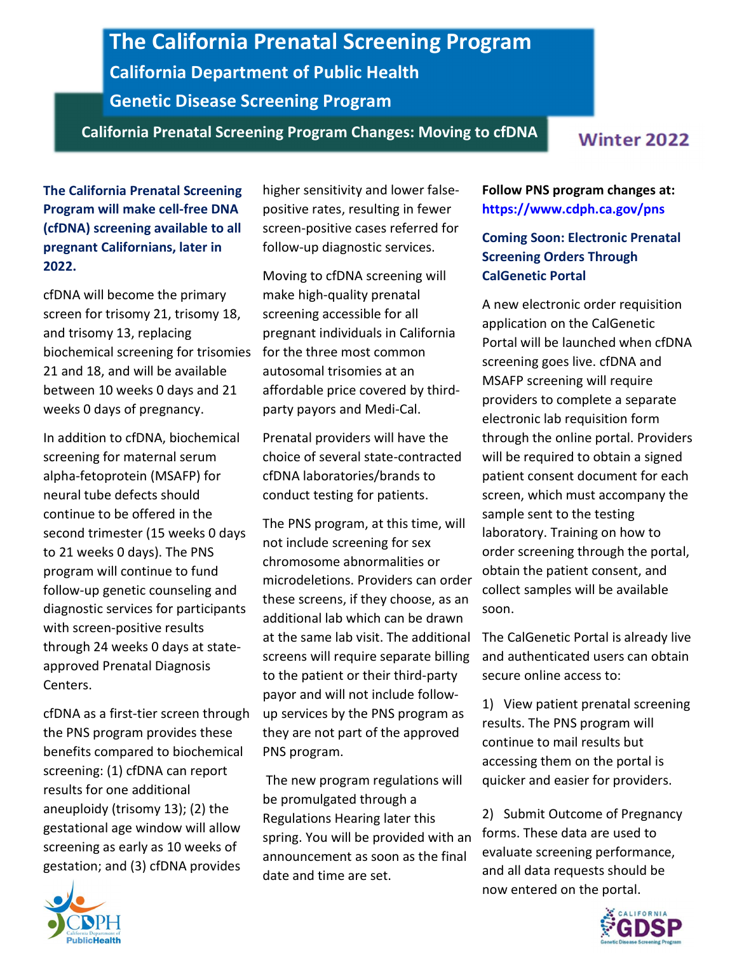## The California Prenatal Screening Program California Department of Public Health Genetic Disease Screening Program

California Prenatal Screening Program Changes: Moving to cfDNA

The California Prenatal Screening Program will make cell-free DNA (cfDNA) screening available to all pregnant Californians, later in 2022.

cfDNA will become the primary screen for trisomy 21, trisomy 18, and trisomy 13, replacing biochemical screening for trisomies 21 and 18, and will be available between 10 weeks 0 days and 21 weeks 0 days of pregnancy.

In addition to cfDNA, biochemical screening for maternal serum alpha-fetoprotein (MSAFP) for neural tube defects should continue to be offered in the second trimester (15 weeks 0 days to 21 weeks 0 days). The PNS program will continue to fund follow-up genetic counseling and diagnostic services for participants with screen-positive results through 24 weeks 0 days at stateapproved Prenatal Diagnosis Centers.

cfDNA as a first-tier screen through the PNS program provides these benefits compared to biochemical screening: (1) cfDNA can report results for one additional aneuploidy (trisomy 13); (2) the gestational age window will allow screening as early as 10 weeks of gestation; and (3) cfDNA provides

higher sensitivity and lower falsepositive rates, resulting in fewer screen-positive cases referred for follow-up diagnostic services.

Moving to cfDNA screening will make high-quality prenatal screening accessible for all pregnant individuals in California for the three most common autosomal trisomies at an affordable price covered by thirdparty payors and Medi-Cal.

Prenatal providers will have the choice of several state-contracted cfDNA laboratories/brands to conduct testing for patients.

The PNS program, at this time, will not include screening for sex chromosome abnormalities or microdeletions. Providers can order these screens, if they choose, as an additional lab which can be drawn at the same lab visit. The additional screens will require separate billing to the patient or their third-party payor and will not include followup services by the PNS program as they are not part of the approved PNS program.

The new program regulations will be promulgated through a Regulations Hearing later this spring. You will be provided with an announcement as soon as the final date and time are set.

Follow PNS program changes at: <https://www.cdph.ca.gov/pns>

## Coming Soon: Electronic Prenatal Screening Orders Through CalGenetic Portal

A new electronic order requisition application on the CalGenetic Portal will be launched when cfDNA screening goes live. cfDNA and MSAFP screening will require providers to complete a separate electronic lab requisition form through the online portal. Providers will be required to obtain a signed patient consent document for each screen, which must accompany the sample sent to the testing laboratory. Training on how to order screening through the portal, obtain the patient consent, and collect samples will be available soon.

The CalGenetic Portal is already live and authenticated users can obtain secure online access to:

1) View patient prenatal screening results. The PNS program will continue to mail results but accessing them on the portal is quicker and easier for providers.

2) Submit Outcome of Pregnancy forms. These data are used to evaluate screening performance, and all data requests should be now entered on the portal.





**Winter 2022**